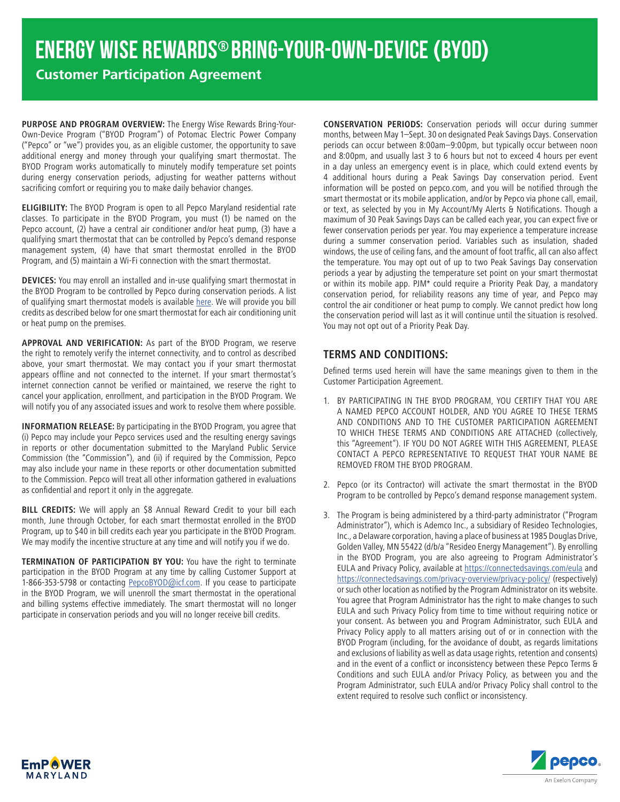**Customer Participation Agreement**

**PURPOSE AND PROGRAM OVERVIEW:** The Energy Wise Rewards Bring-Your-Own-Device Program ("BYOD Program") of Potomac Electric Power Company ("Pepco" or "we") provides you, as an eligible customer, the opportunity to save additional energy and money through your qualifying smart thermostat. The BYOD Program works automatically to minutely modify temperature set points during energy conservation periods, adjusting for weather patterns without sacrificing comfort or requiring you to make daily behavior changes.

**ELIGIBILITY:** The BYOD Program is open to all Pepco Maryland residential rate classes. To participate in the BYOD Program, you must (1) be named on the Pepco account, (2) have a central air conditioner and/or heat pump, (3) have a qualifying smart thermostat that can be controlled by Pepco's demand response management system, (4) have that smart thermostat enrolled in the BYOD Program, and (5) maintain a Wi-Fi connection with the smart thermostat.

**DEVICES:** You may enroll an installed and in-use qualifying smart thermostat in the BYOD Program to be controlled by Pepco during conservation periods. A list of qualifying smart thermostat models is available [here.](https://homeenergysavings.pepco.com/sites/default/files/public/Pepco%20TOP%20Qualifying%20Thermostats.pdf) We will provide you bill credits as described below for one smart thermostat for each air conditioning unit or heat pump on the premises.

**APPROVAL AND VERIFICATION:** As part of the BYOD Program, we reserve the right to remotely verify the internet connectivity, and to control as described above, your smart thermostat. We may contact you if your smart thermostat appears offline and not connected to the internet. If your smart thermostat's internet connection cannot be verified or maintained, we reserve the right to cancel your application, enrollment, and participation in the BYOD Program. We will notify you of any associated issues and work to resolve them where possible.

**INFORMATION RELEASE:** By participating in the BYOD Program, you agree that (i) Pepco may include your Pepco services used and the resulting energy savings in reports or other documentation submitted to the Maryland Public Service Commission (the "Commission"), and (ii) if required by the Commission, Pepco may also include your name in these reports or other documentation submitted to the Commission. Pepco will treat all other information gathered in evaluations as confidential and report it only in the aggregate.

**BILL CREDITS:** We will apply an \$8 Annual Reward Credit to your bill each month, June through October, for each smart thermostat enrolled in the BYOD Program, up to \$40 in bill credits each year you participate in the BYOD Program. We may modify the incentive structure at any time and will notify you if we do.

**TERMINATION OF PARTICIPATION BY YOU:** You have the right to terminate participation in the BYOD Program at any time by calling Customer Support at 1-866-353-5798 or contacting [PepcoBYOD@icf.com.](mailto:PepcoBYOD%40icf.com?subject=) If you cease to participate in the BYOD Program, we will unenroll the smart thermostat in the operational and billing systems effective immediately. The smart thermostat will no longer participate in conservation periods and you will no longer receive bill credits.

**CONSERVATION PERIODS:** Conservation periods will occur during summer months, between May 1–Sept. 30 on designated Peak Savings Days. Conservation periods can occur between 8:00am–9:00pm, but typically occur between noon and 8:00pm, and usually last 3 to 6 hours but not to exceed 4 hours per event in a day unless an emergency event is in place, which could extend events by 4 additional hours during a Peak Savings Day conservation period. Event information will be posted on [pepco.com,](http://pepco.com) and you will be notified through the smart thermostat or its mobile application, and/or by Pepco via phone call, email, or text, as selected by you in My Account/My Alerts & Notifications. Though a maximum of 30 Peak Savings Days can be called each year, you can expect five or fewer conservation periods per year. You may experience a temperature increase during a summer conservation period. Variables such as insulation, shaded windows, the use of ceiling fans, and the amount of foot traffic, all can also affect the temperature. You may opt out of up to two Peak Savings Day conservation periods a year by adjusting the temperature set point on your smart thermostat or within its mobile app. PJM\* could require a Priority Peak Day, a mandatory conservation period, for reliability reasons any time of year, and Pepco may control the air conditioner or heat pump to comply. We cannot predict how long the conservation period will last as it will continue until the situation is resolved. You may not opt out of a Priority Peak Day.

## **TERMS AND CONDITIONS:**

Defined terms used herein will have the same meanings given to them in the Customer Participation Agreement.

- 1. BY PARTICIPATING IN THE BYOD PROGRAM, YOU CERTIFY THAT YOU ARE A NAMED PEPCO ACCOUNT HOLDER, AND YOU AGREE TO THESE TERMS AND CONDITIONS AND TO THE CUSTOMER PARTICIPATION AGREEMENT TO WHICH THESE TERMS AND CONDITIONS ARE ATTACHED (collectively, this "Agreement"). IF YOU DO NOT AGREE WITH THIS AGREEMENT, PLEASE CONTACT A PEPCO REPRESENTATIVE TO REQUEST THAT YOUR NAME BE REMOVED FROM THE BYOD PROGRAM.
- 2. Pepco (or its Contractor) will activate the smart thermostat in the BYOD Program to be controlled by Pepco's demand response management system.
- 3. The Program is being administered by a third-party administrator ("Program Administrator"), which is Ademco Inc., a subsidiary of Resideo Technologies, Inc., a Delaware corporation, having a place of business at 1985 Douglas Drive, Golden Valley, MN 55422 (d/b/a "Resideo Energy Management"). By enrolling in the BYOD Program, you are also agreeing to Program Administrator's EULA and Privacy Policy, available at <https://connectedsavings.com/eula> and <https://connectedsavings.com/privacy-overview/privacy-policy/> (respectively) or such other location as notified by the Program Administrator on its website. You agree that Program Administrator has the right to make changes to such EULA and such Privacy Policy from time to time without requiring notice or your consent. As between you and Program Administrator, such EULA and Privacy Policy apply to all matters arising out of or in connection with the BYOD Program (including, for the avoidance of doubt, as regards limitations and exclusions of liability as well as data usage rights, retention and consents) and in the event of a conflict or inconsistency between these Pepco Terms & Conditions and such EULA and/or Privacy Policy, as between you and the Program Administrator, such EULA and/or Privacy Policy shall control to the extent required to resolve such conflict or inconsistency.